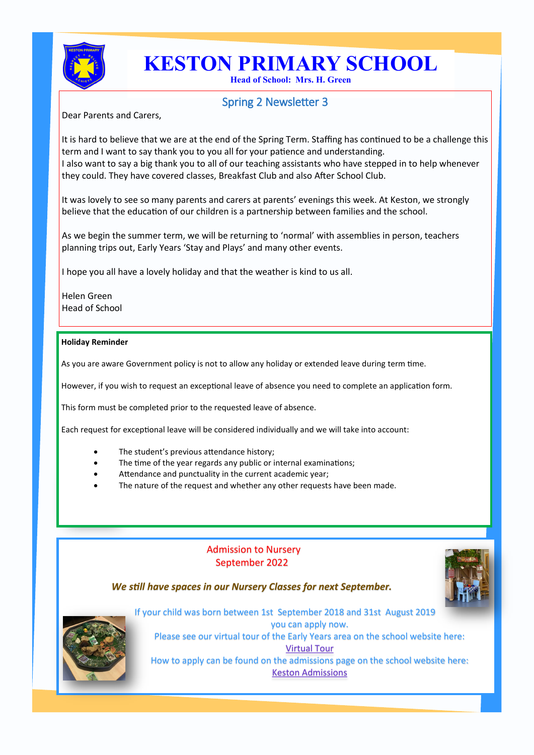

# **KESTON PRIMARY SCHOOL**

**Head of School: Mrs. H. Green**

## Spring 2 Newsletter 3

Dear Parents and Carers,

It is hard to believe that we are at the end of the Spring Term. Staffing has continued to be a challenge this term and I want to say thank you to you all for your patience and understanding. I also want to say a big thank you to all of our teaching assistants who have stepped in to help whenever they could. They have covered classes, Breakfast Club and also After School Club.

It was lovely to see so many parents and carers at parents' evenings this week. At Keston, we strongly believe that the education of our children is a partnership between families and the school.

As we begin the summer term, we will be returning to 'normal' with assemblies in person, teachers planning trips out, Early Years 'Stay and Plays' and many other events.

I hope you all have a lovely holiday and that the weather is kind to us all.

Helen Green Head of School

#### **Holiday Reminder**

As you are aware Government policy is not to allow any holiday or extended leave during term time.

However, if you wish to request an exceptional leave of absence you need to complete an application form.

This form must be completed prior to the requested leave of absence.

Each request for exceptional leave will be considered individually and we will take into account:

- The student's previous attendance history;
- The time of the year regards any public or internal examinations;
- Attendance and punctuality in the current academic year;
- The nature of the request and whether any other requests have been made.

### Admission to Nursery September 2022

#### *We still have spaces in our Nursery Classes for next September.*





If your child was born between 1st September 2018 and 31st August 2019 you can apply now. Please see our virtual tour of the Early Years area on the school website here: [Virtual Tour](https://www.kestonprimary.org.uk/our-school/admissions/)  How to apply can be found on the admissions page on the school website here: [Keston Admissions](https://www.kestonprimary.org.uk/our-school/admissions/)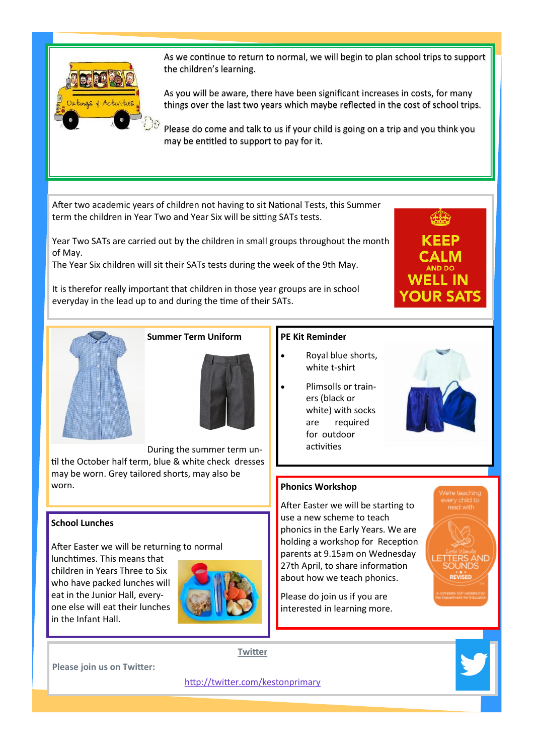

As we continue to return to normal, we will begin to plan school trips to support the children's learning.

As you will be aware, there have been significant increases in costs, for many things over the last two years which maybe reflected in the cost of school trips.

Please do come and talk to us if your child is going on a trip and you think you may be entitled to support to pay for it.

After two academic years of children not having to sit National Tests, this Summer term the children in Year Two and Year Six will be sitting SATs tests.

Year Two SATs are carried out by the children in small groups throughout the month of May.

The Year Six children will sit their SATs tests during the week of the 9th May.

It is therefor really important that children in those year groups are in school everyday in the lead up to and during the time of their SATs.





**Summer Term Uniform** 



During the summer term until the October half term, blue & white check dresses may be worn. Grey tailored shorts, may also be worn.

#### **School Lunches**

After Easter we will be returning to normal

lunchtimes. This means that children in Years Three to Six who have packed lunches will eat in the Junior Hall, everyone else will eat their lunches in the Infant Hall.



**Please join us on Twitter:**

#### **PE Kit Reminder**

- Royal blue shorts, white t-shirt
- Plimsolls or trainers (black or white) with socks are required for outdoor activities

#### **Phonics Workshop**

After Easter we will be starting to use a new scheme to teach phonics in the Early Years. We are holding a workshop for Reception parents at 9.15am on Wednesday 27th April, to share information about how we teach phonics.

Please do join us if you are interested in learning more.



**Twitter**

[http://twitter.com/kestonprimary](https://twitter.com/kestonprimary)